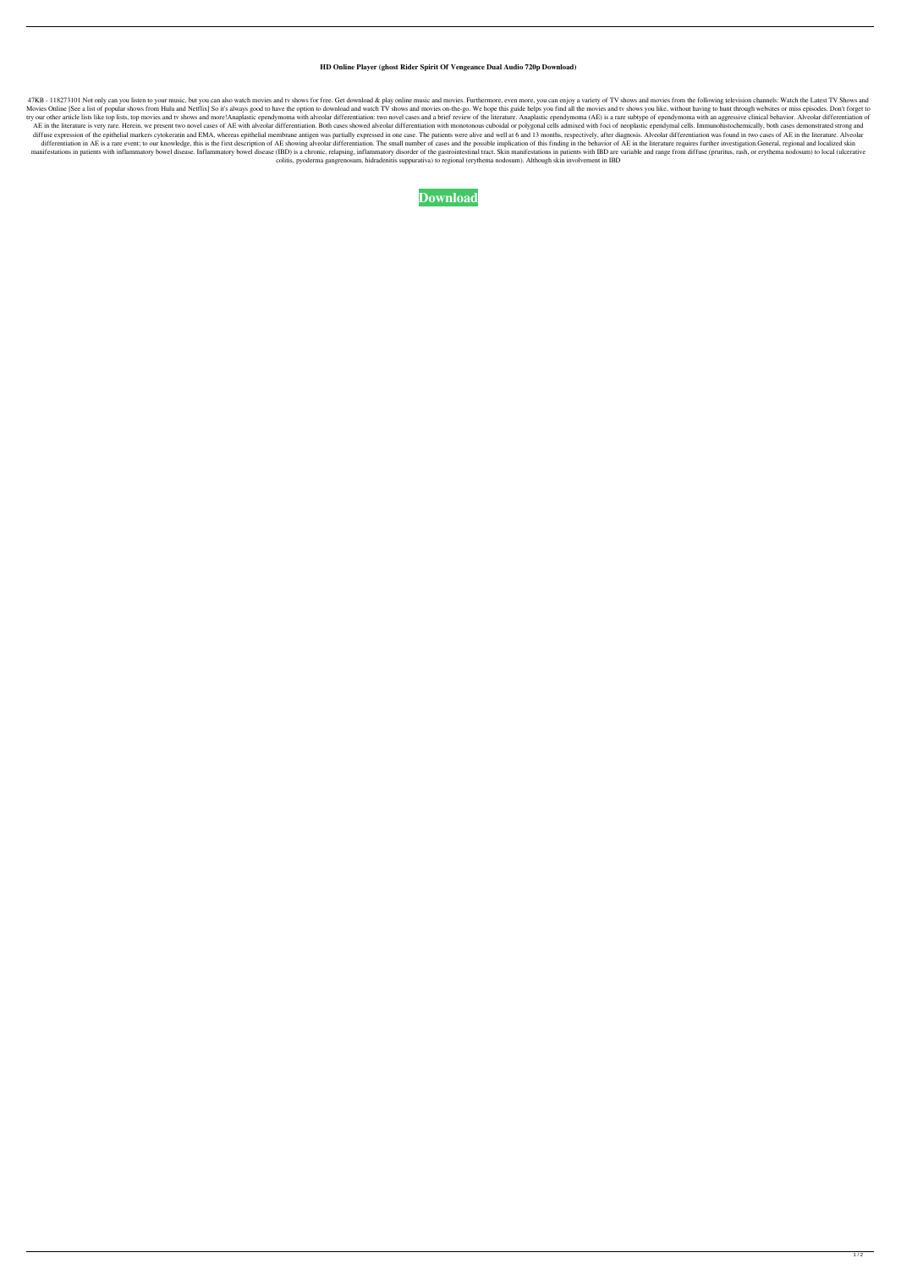## **HD Online Player (ghost Rider Spirit Of Vengeance Dual Audio 720p Download)**

47KB - 118273101 Not only can you listen to your music, but you can also watch movies and tv shows for free. Get download & play online music and movies. Furthermore, even more, you can enjoy a variety of TV shows and movi Movies Online [See a list of popular shows from Hulu and Netflix] So it's always good to have the option to download and watch TV shows and movies on-the-go. We hope this guide helps you find all the movies and tv shows yo try our other article lists like top lists, top movies and tv shows and more!Anaplastic ependymoma with alveolar differentiation: two novel cases and a brief review of the literature. Anaplastic ependymoma (AE) is a rare s AE in the literature is very rare. Herein, we present two novel cases of AE with alveolar differentiation. Both cases showed alveolar differentiation with monotonous cuboidal or polygonal cells admixed with foci of neoplas diffuse expression of the epithelial markers cytokeratin and EMA, whereas epithelial membrane antigen was partially expressed in one case. The patients were alive and well at 6 and 13 months, respectively, after diagnosis. differentiation in AE is a rare event; to our knowledge, this is the first description of AE showing alveolar differentiation. The small number of cases and the possible implication of this finding in the behavior of AE in manifestations in patients with inflammatory bowel disease. Inflammatory bowel disease (IBD) is a chronic, relapsing, inflammatory disorder of the gastrointestinal tract. Skin manifestations in patients with IBD are variab colitis, pyoderma gangrenosum, hidradenitis suppurativa) to regional (erythema nodosum). Although skin involvement in IBD